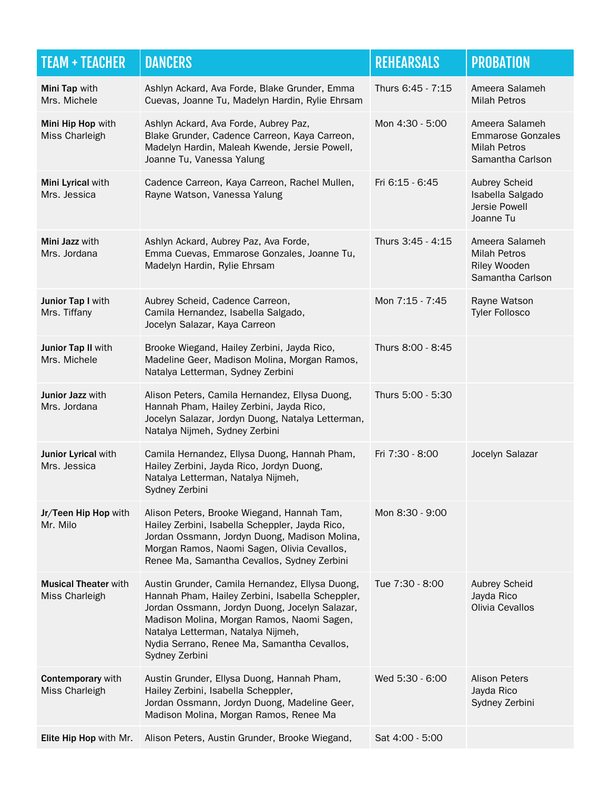| <b>TEAM + TEACHER</b>                         | <b>DANCERS</b>                                                                                                                                                                                                                                                                                             | <b>REHEARSALS</b> | <b>PROBATION</b>                                                                      |
|-----------------------------------------------|------------------------------------------------------------------------------------------------------------------------------------------------------------------------------------------------------------------------------------------------------------------------------------------------------------|-------------------|---------------------------------------------------------------------------------------|
| Mini Tap with<br>Mrs. Michele                 | Ashlyn Ackard, Ava Forde, Blake Grunder, Emma<br>Cuevas, Joanne Tu, Madelyn Hardin, Rylie Ehrsam                                                                                                                                                                                                           | Thurs 6:45 - 7:15 | Ameera Salameh<br><b>Milah Petros</b>                                                 |
| Mini Hip Hop with<br>Miss Charleigh           | Ashlyn Ackard, Ava Forde, Aubrey Paz,<br>Blake Grunder, Cadence Carreon, Kaya Carreon,<br>Madelyn Hardin, Maleah Kwende, Jersie Powell,<br>Joanne Tu, Vanessa Yalung                                                                                                                                       | Mon 4:30 - 5:00   | Ameera Salameh<br><b>Emmarose Gonzales</b><br><b>Milah Petros</b><br>Samantha Carlson |
| Mini Lyrical with<br>Mrs. Jessica             | Cadence Carreon, Kaya Carreon, Rachel Mullen,<br>Rayne Watson, Vanessa Yalung                                                                                                                                                                                                                              | Fri 6:15 - 6:45   | Aubrey Scheid<br>Isabella Salgado<br>Jersie Powell<br>Joanne Tu                       |
| Mini Jazz with<br>Mrs. Jordana                | Ashlyn Ackard, Aubrey Paz, Ava Forde,<br>Emma Cuevas, Emmarose Gonzales, Joanne Tu,<br>Madelyn Hardin, Rylie Ehrsam                                                                                                                                                                                        | Thurs 3:45 - 4:15 | Ameera Salameh<br><b>Milah Petros</b><br>Riley Wooden<br>Samantha Carlson             |
| Junior Tap I with<br>Mrs. Tiffany             | Aubrey Scheid, Cadence Carreon,<br>Camila Hernandez, Isabella Salgado,<br>Jocelyn Salazar, Kaya Carreon                                                                                                                                                                                                    | Mon 7:15 - 7:45   | Rayne Watson<br><b>Tyler Follosco</b>                                                 |
| Junior Tap II with<br>Mrs. Michele            | Brooke Wiegand, Hailey Zerbini, Jayda Rico,<br>Madeline Geer, Madison Molina, Morgan Ramos,<br>Natalya Letterman, Sydney Zerbini                                                                                                                                                                           | Thurs 8:00 - 8:45 |                                                                                       |
| Junior Jazz with<br>Mrs. Jordana              | Alison Peters, Camila Hernandez, Ellysa Duong,<br>Hannah Pham, Hailey Zerbini, Jayda Rico,<br>Jocelyn Salazar, Jordyn Duong, Natalya Letterman,<br>Natalya Nijmeh, Sydney Zerbini                                                                                                                          | Thurs 5:00 - 5:30 |                                                                                       |
| Junior Lyrical with<br>Mrs. Jessica           | Camila Hernandez, Ellysa Duong, Hannah Pham,<br>Hailey Zerbini, Jayda Rico, Jordyn Duong,<br>Natalya Letterman, Natalya Nijmeh,<br>Sydney Zerbini                                                                                                                                                          | Fri 7:30 - 8:00   | Jocelyn Salazar                                                                       |
| Jr/Teen Hip Hop with<br>Mr. Milo              | Alison Peters, Brooke Wiegand, Hannah Tam,<br>Hailey Zerbini, Isabella Scheppler, Jayda Rico,<br>Jordan Ossmann, Jordyn Duong, Madison Molina,<br>Morgan Ramos, Naomi Sagen, Olivia Cevallos,<br>Renee Ma, Samantha Cevallos, Sydney Zerbini                                                               | Mon 8:30 - 9:00   |                                                                                       |
| <b>Musical Theater with</b><br>Miss Charleigh | Austin Grunder, Camila Hernandez, Ellysa Duong,<br>Hannah Pham, Hailey Zerbini, Isabella Scheppler,<br>Jordan Ossmann, Jordyn Duong, Jocelyn Salazar,<br>Madison Molina, Morgan Ramos, Naomi Sagen,<br>Natalya Letterman, Natalya Nijmeh,<br>Nydia Serrano, Renee Ma, Samantha Cevallos,<br>Sydney Zerbini | Tue 7:30 - 8:00   | <b>Aubrey Scheid</b><br>Jayda Rico<br>Olivia Cevallos                                 |
| Contemporary with<br>Miss Charleigh           | Austin Grunder, Ellysa Duong, Hannah Pham,<br>Hailey Zerbini, Isabella Scheppler,<br>Jordan Ossmann, Jordyn Duong, Madeline Geer,<br>Madison Molina, Morgan Ramos, Renee Ma                                                                                                                                | Wed 5:30 - 6:00   | <b>Alison Peters</b><br>Jayda Rico<br>Sydney Zerbini                                  |
| Elite Hip Hop with Mr.                        | Alison Peters, Austin Grunder, Brooke Wiegand,                                                                                                                                                                                                                                                             | Sat 4:00 - 5:00   |                                                                                       |